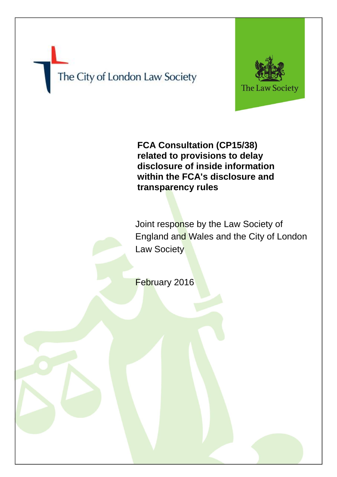## The City of London Law Society



**FCA Consultation (CP15/38) related to provisions to delay disclosure of inside information within the FCA's disclosure and transparency rules**

Joint response by the Law Society of England and Wales and the City of London Law Society

February 2016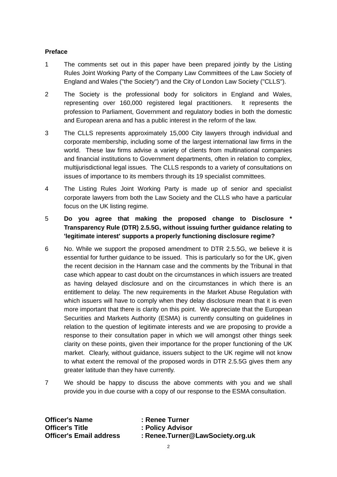## **Preface**

- 1 The comments set out in this paper have been prepared jointly by the Listing Rules Joint Working Party of the Company Law Committees of the Law Society of England and Wales ("the Society") and the City of London Law Society ("CLLS").
- 2 The Society is the professional body for solicitors in England and Wales, representing over 160,000 registered legal practitioners. It represents the profession to Parliament, Government and regulatory bodies in both the domestic and European arena and has a public interest in the reform of the law.
- 3 The CLLS represents approximately 15,000 City lawyers through individual and corporate membership, including some of the largest international law firms in the world. These law firms advise a variety of clients from multinational companies and financial institutions to Government departments, often in relation to complex, multijurisdictional legal issues. The CLLS responds to a variety of consultations on issues of importance to its members through its 19 specialist committees.
- 4 The Listing Rules Joint Working Party is made up of senior and specialist corporate lawyers from both the Law Society and the CLLS who have a particular focus on the UK listing regime.
- 5 **Do you agree that making the proposed change to Disclosure \* Transparency Rule (DTR) 2.5.5G, without issuing further guidance relating to 'legitimate interest' supports a properly functioning disclosure regime?**
- 6 No. While we support the proposed amendment to DTR 2.5.5G, we believe it is essential for further guidance to be issued. This is particularly so for the UK, given the recent decision in the Hannam case and the comments by the Tribunal in that case which appear to cast doubt on the circumstances in which issuers are treated as having delayed disclosure and on the circumstances in which there is an entitlement to delay. The new requirements in the Market Abuse Regulation with which issuers will have to comply when they delay disclosure mean that it is even more important that there is clarity on this point. We appreciate that the European Securities and Markets Authority (ESMA) is currently consulting on guidelines in relation to the question of legitimate interests and we are proposing to provide a response to their consultation paper in which we will amongst other things seek clarity on these points, given their importance for the proper functioning of the UK market. Clearly, without guidance, issuers subject to the UK regime will not know to what extent the removal of the proposed words in DTR 2.5.5G gives them any greater latitude than they have currently.
- 7 We should be happy to discuss the above comments with you and we shall provide you in due course with a copy of our response to the ESMA consultation.

| <b>Officer's Name</b>          | : Renee Turner                   |
|--------------------------------|----------------------------------|
| <b>Officer's Title</b>         | : Policy Advisor                 |
| <b>Officer's Email address</b> | : Renee.Turner@LawSociety.org.uk |